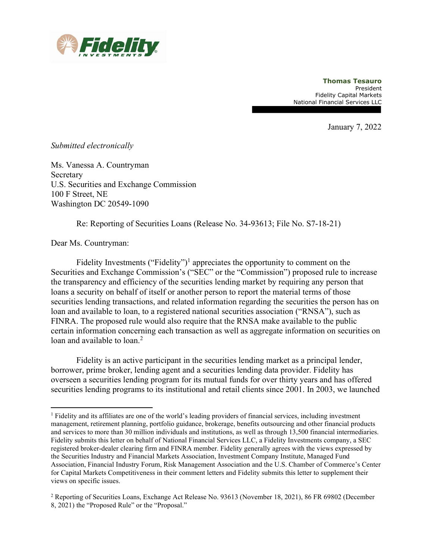

Thomas Tesauro President Fidelity Capital Markets National Financial Services LLC

January 7, 2022

## Submitted electronically

Ms. Vanessa A. Countryman Secretary U.S. Securities and Exchange Commission 100 F Street, NE Washington DC 20549-1090

Re: Reporting of Securities Loans (Release No. 34-93613; File No. S7-18-21)

Dear Ms. Countryman:

Fidelity Investments ("Fidelity")<sup>1</sup> appreciates the opportunity to comment on the Securities and Exchange Commission's ("SEC" or the "Commission") proposed rule to increase the transparency and efficiency of the securities lending market by requiring any person that loans a security on behalf of itself or another person to report the material terms of those securities lending transactions, and related information regarding the securities the person has on loan and available to loan, to a registered national securities association ("RNSA"), such as FINRA. The proposed rule would also require that the RNSA make available to the public certain information concerning each transaction as well as aggregate information on securities on loan and available to loan.<sup>2</sup>

Fidelity is an active participant in the securities lending market as a principal lender, borrower, prime broker, lending agent and a securities lending data provider. Fidelity has overseen a securities lending program for its mutual funds for over thirty years and has offered securities lending programs to its institutional and retail clients since 2001. In 2003, we launched

<sup>&</sup>lt;sup>1</sup> Fidelity and its affiliates are one of the world's leading providers of financial services, including investment management, retirement planning, portfolio guidance, brokerage, benefits outsourcing and other financial products and services to more than 30 million individuals and institutions, as well as through 13,500 financial intermediaries. Fidelity submits this letter on behalf of National Financial Services LLC, a Fidelity Investments company, a SEC registered broker-dealer clearing firm and FINRA member. Fidelity generally agrees with the views expressed by the Securities Industry and Financial Markets Association, Investment Company Institute, Managed Fund Association, Financial Industry Forum, Risk Management Association and the U.S. Chamber of Commerce's Center for Capital Markets Competitiveness in their comment letters and Fidelity submits this letter to supplement their views on specific issues.

<sup>&</sup>lt;sup>2</sup> Reporting of Securities Loans, Exchange Act Release No. 93613 (November 18, 2021), 86 FR 69802 (December 8, 2021) the "Proposed Rule" or the "Proposal."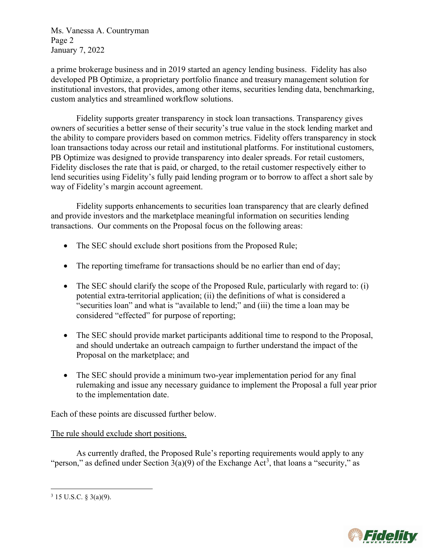Ms. Vanessa A. Countryman Page 2 January 7, 2022

a prime brokerage business and in 2019 started an agency lending business. Fidelity has also developed PB Optimize, a proprietary portfolio finance and treasury management solution for institutional investors, that provides, among other items, securities lending data, benchmarking, custom analytics and streamlined workflow solutions.

Fidelity supports greater transparency in stock loan transactions. Transparency gives owners of securities a better sense of their security's true value in the stock lending market and the ability to compare providers based on common metrics. Fidelity offers transparency in stock loan transactions today across our retail and institutional platforms. For institutional customers, PB Optimize was designed to provide transparency into dealer spreads. For retail customers, Fidelity discloses the rate that is paid, or charged, to the retail customer respectively either to lend securities using Fidelity's fully paid lending program or to borrow to affect a short sale by way of Fidelity's margin account agreement.

Fidelity supports enhancements to securities loan transparency that are clearly defined and provide investors and the marketplace meaningful information on securities lending transactions. Our comments on the Proposal focus on the following areas:

- The SEC should exclude short positions from the Proposed Rule;
- The reporting timeframe for transactions should be no earlier than end of day;
- The SEC should clarify the scope of the Proposed Rule, particularly with regard to: (i) potential extra-territorial application; (ii) the definitions of what is considered a "securities loan" and what is "available to lend;" and (iii) the time a loan may be considered "effected" for purpose of reporting;
- The SEC should provide market participants additional time to respond to the Proposal, and should undertake an outreach campaign to further understand the impact of the Proposal on the marketplace; and
- The SEC should provide a minimum two-year implementation period for any final rulemaking and issue any necessary guidance to implement the Proposal a full year prior to the implementation date.

Each of these points are discussed further below.

# The rule should exclude short positions.

As currently drafted, the Proposed Rule's reporting requirements would apply to any "person," as defined under Section  $3(a)(9)$  of the Exchange Act<sup>3</sup>, that loans a "security," as



 $3$  15 U.S.C. § 3(a)(9).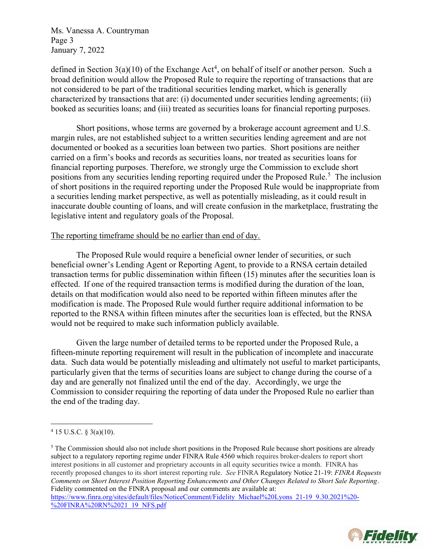Ms. Vanessa A. Countryman Page 3 January 7, 2022

defined in Section  $3(a)(10)$  of the Exchange Act<sup>4</sup>, on behalf of itself or another person. Such a broad definition would allow the Proposed Rule to require the reporting of transactions that are not considered to be part of the traditional securities lending market, which is generally characterized by transactions that are: (i) documented under securities lending agreements; (ii) booked as securities loans; and (iii) treated as securities loans for financial reporting purposes.

Short positions, whose terms are governed by a brokerage account agreement and U.S. margin rules, are not established subject to a written securities lending agreement and are not documented or booked as a securities loan between two parties. Short positions are neither carried on a firm's books and records as securities loans, nor treated as securities loans for financial reporting purposes. Therefore, we strongly urge the Commission to exclude short positions from any securities lending reporting required under the Proposed Rule.<sup>5</sup> The inclusion of short positions in the required reporting under the Proposed Rule would be inappropriate from a securities lending market perspective, as well as potentially misleading, as it could result in inaccurate double counting of loans, and will create confusion in the marketplace, frustrating the legislative intent and regulatory goals of the Proposal.

## The reporting timeframe should be no earlier than end of day.

The Proposed Rule would require a beneficial owner lender of securities, or such beneficial owner's Lending Agent or Reporting Agent, to provide to a RNSA certain detailed transaction terms for public dissemination within fifteen (15) minutes after the securities loan is effected. If one of the required transaction terms is modified during the duration of the loan, details on that modification would also need to be reported within fifteen minutes after the modification is made. The Proposed Rule would further require additional information to be reported to the RNSA within fifteen minutes after the securities loan is effected, but the RNSA would not be required to make such information publicly available.

Given the large number of detailed terms to be reported under the Proposed Rule, a fifteen-minute reporting requirement will result in the publication of incomplete and inaccurate data. Such data would be potentially misleading and ultimately not useful to market participants, particularly given that the terms of securities loans are subject to change during the course of a day and are generally not finalized until the end of the day. Accordingly, we urge the Commission to consider requiring the reporting of data under the Proposed Rule no earlier than the end of the trading day.

 $<sup>5</sup>$  The Commission should also not include short positions in the Proposed Rule because short positions are already</sup> subject to a regulatory reporting regime under FINRA Rule 4560 which requires broker-dealers to report short interest positions in all customer and proprietary accounts in all equity securities twice a month. FINRA has recently proposed changes to its short interest reporting rule. See FINRA Regulatory Notice 21-19: FINRA Requests Comments on Short Interest Position Reporting Enhancements and Other Changes Related to Short Sale Reporting. Fidelity commented on the FINRA proposal and our comments are available at: https://www.finra.org/sites/default/files/NoticeComment/Fidelity Michael%20Lyons 21-19 9.30.2021%20- %20FINRA%20RN%2021 19 NFS.pdf



 $4$  15 U.S.C. § 3(a)(10).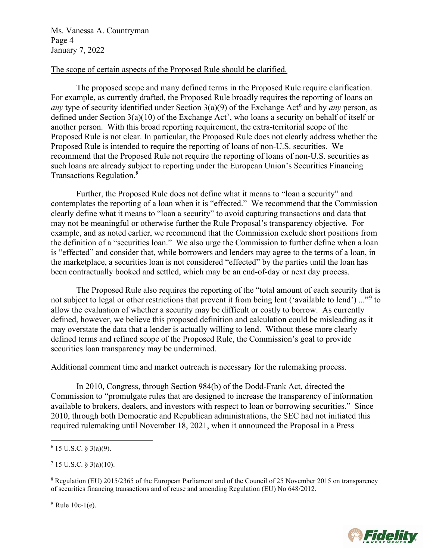Ms. Vanessa A. Countryman Page 4 January 7, 2022

# The scope of certain aspects of the Proposed Rule should be clarified.

The proposed scope and many defined terms in the Proposed Rule require clarification. For example, as currently drafted, the Proposed Rule broadly requires the reporting of loans on any type of security identified under Section  $3(a)(9)$  of the Exchange Act<sup>6</sup> and by any person, as defined under Section  $3(a)(10)$  of the Exchange Act<sup>7</sup>, who loans a security on behalf of itself or another person. With this broad reporting requirement, the extra-territorial scope of the Proposed Rule is not clear. In particular, the Proposed Rule does not clearly address whether the Proposed Rule is intended to require the reporting of loans of non-U.S. securities. We recommend that the Proposed Rule not require the reporting of loans of non-U.S. securities as such loans are already subject to reporting under the European Union's Securities Financing Transactions Regulation.<sup>8</sup>

Further, the Proposed Rule does not define what it means to "loan a security" and contemplates the reporting of a loan when it is "effected." We recommend that the Commission clearly define what it means to "loan a security" to avoid capturing transactions and data that may not be meaningful or otherwise further the Rule Proposal's transparency objective. For example, and as noted earlier, we recommend that the Commission exclude short positions from the definition of a "securities loan." We also urge the Commission to further define when a loan is "effected" and consider that, while borrowers and lenders may agree to the terms of a loan, in the marketplace, a securities loan is not considered "effected" by the parties until the loan has been contractually booked and settled, which may be an end-of-day or next day process.

The Proposed Rule also requires the reporting of the "total amount of each security that is not subject to legal or other restrictions that prevent it from being lent ('available to lend') ..."<sup>9</sup> to allow the evaluation of whether a security may be difficult or costly to borrow. As currently defined, however, we believe this proposed definition and calculation could be misleading as it may overstate the data that a lender is actually willing to lend. Without these more clearly defined terms and refined scope of the Proposed Rule, the Commission's goal to provide securities loan transparency may be undermined.

# Additional comment time and market outreach is necessary for the rulemaking process.

In 2010, Congress, through Section 984(b) of the Dodd-Frank Act, directed the Commission to "promulgate rules that are designed to increase the transparency of information available to brokers, dealers, and investors with respect to loan or borrowing securities." Since 2010, through both Democratic and Republican administrations, the SEC had not initiated this required rulemaking until November 18, 2021, when it announced the Proposal in a Press

 $7$  15 U.S.C. § 3(a)(10).

 $9$  Rule 10c-1(e).



 $6$  15 U.S.C. § 3(a)(9).

<sup>&</sup>lt;sup>8</sup> Regulation (EU) 2015/2365 of the European Parliament and of the Council of 25 November 2015 on transparency of securities financing transactions and of reuse and amending Regulation (EU) No 648/2012.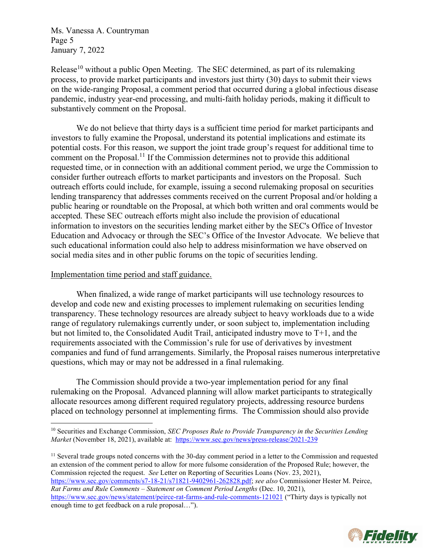Ms. Vanessa A. Countryman Page 5 January 7, 2022

Release<sup>10</sup> without a public Open Meeting. The SEC determined, as part of its rulemaking process, to provide market participants and investors just thirty (30) days to submit their views on the wide-ranging Proposal, a comment period that occurred during a global infectious disease pandemic, industry year-end processing, and multi-faith holiday periods, making it difficult to substantively comment on the Proposal.

We do not believe that thirty days is a sufficient time period for market participants and investors to fully examine the Proposal, understand its potential implications and estimate its potential costs. For this reason, we support the joint trade group's request for additional time to comment on the Proposal.<sup>11</sup> If the Commission determines not to provide this additional requested time, or in connection with an additional comment period, we urge the Commission to consider further outreach efforts to market participants and investors on the Proposal. Such outreach efforts could include, for example, issuing a second rulemaking proposal on securities lending transparency that addresses comments received on the current Proposal and/or holding a public hearing or roundtable on the Proposal, at which both written and oral comments would be accepted. These SEC outreach efforts might also include the provision of educational information to investors on the securities lending market either by the SEC's Office of Investor Education and Advocacy or through the SEC's Office of the Investor Advocate. We believe that such educational information could also help to address misinformation we have observed on social media sites and in other public forums on the topic of securities lending.

#### Implementation time period and staff guidance.

When finalized, a wide range of market participants will use technology resources to develop and code new and existing processes to implement rulemaking on securities lending transparency. These technology resources are already subject to heavy workloads due to a wide range of regulatory rulemakings currently under, or soon subject to, implementation including but not limited to, the Consolidated Audit Trail, anticipated industry move to T+1, and the requirements associated with the Commission's rule for use of derivatives by investment companies and fund of fund arrangements. Similarly, the Proposal raises numerous interpretative questions, which may or may not be addressed in a final rulemaking.

The Commission should provide a two-year implementation period for any final rulemaking on the Proposal. Advanced planning will allow market participants to strategically allocate resources among different required regulatory projects, addressing resource burdens placed on technology personnel at implementing firms. The Commission should also provide

<sup>11</sup> Several trade groups noted concerns with the 30-day comment period in a letter to the Commission and requested an extension of the comment period to allow for more fulsome consideration of the Proposed Rule; however, the Commission rejected the request. See Letter on Reporting of Securities Loans (Nov. 23, 2021), https://www.sec.gov/comments/s7-18-21/s71821-9402961-262828.pdf; see also Commissioner Hester M. Peirce, Rat Farms and Rule Comments – Statement on Comment Period Lengths (Dec. 10, 2021), https://www.sec.gov/news/statement/peirce-rat-farms-and-rule-comments-121021 ("Thirty days is typically not enough time to get feedback on a rule proposal…").



 $10$  Securities and Exchange Commission, SEC Proposes Rule to Provide Transparency in the Securities Lending Market (November 18, 2021), available at: https://www.sec.gov/news/press-release/2021-239